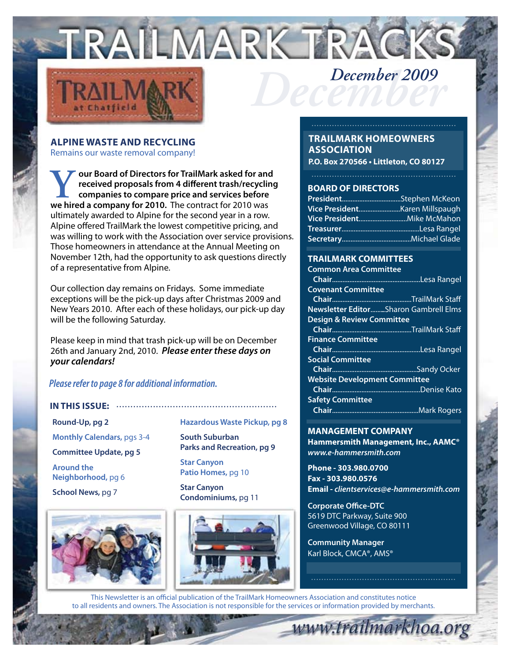



## **Alpine Waste and Recycling**

Remains our waste removal company!

**Y** our Board of Directors for TrailMark asked for and<br>received proposals from 4 different trash/recycling<br>companies to compare price and services before<br>we hired a company for 2010. The contract for 2010 was **received proposals from 4 different trash/recycling companies to compare price and services before we hired a company for 2010.** The contract for 2010 was ultimately awarded to Alpine for the second year in a row. Alpine offered TrailMark the lowest competitive pricing, and was willing to work with the Association over service provisions. Those homeowners in attendance at the Annual Meeting on November 12th, had the opportunity to ask questions directly of a representative from Alpine.

Our collection day remains on Fridays. Some immediate exceptions will be the pick-up days after Christmas 2009 and New Years 2010. After each of these holidays, our pick-up day will be the following Saturday.

Please keep in mind that trash pick-up will be on December 26th and January 2nd, 2010. *Please enter these days on your calendars!*

### *Please refer to page 8 for additional information.*

#### **IN THIS ISSUE:** .........................................................

**Round-Up, pg 2 Monthly Calendars,** pgs 3-4 **Committee Update, pg 5 Around the Neighborhood,** pg 6 **School News,** pg 7



**Hazardous Waste Pickup, pg 8**

**South Suburban Parks and Recreation, pg 9**

**Star Canyon Patio Homes,** pg 10

**Star Canyon Condominiums,** pg 11



## **TrailMark Homeowners Association**

**P.O. Box 270566 • Littleton, CO 80127**

#### **BOARD OF DIRECTORS**

#### **TRAILMARK COMMITTEES**

| <b>Common Area Committee</b>          |  |
|---------------------------------------|--|
|                                       |  |
| <b>Covenant Committee</b>             |  |
|                                       |  |
| Newsletter EditorSharon Gambrell Elms |  |
| <b>Design &amp; Review Committee</b>  |  |
|                                       |  |
| <b>Finance Committee</b>              |  |
|                                       |  |
| <b>Social Committee</b>               |  |
|                                       |  |
| <b>Website Development Committee</b>  |  |
|                                       |  |
| <b>Safety Committee</b>               |  |
|                                       |  |
|                                       |  |

## **MANAGEMENT COMPANY**

**Hammersmith Management, Inc., AAMC®** *www.e-hammersmith.com*

**Phone - 303.980.0700 Fax - 303.980.0576 Email -** *clientservices@e-hammersmith.com*

www.trailmarkhoa.org

**Corporate Office-DTC** 5619 DTC Parkway, Suite 900 Greenwood Village, CO 80111

**Community Manager** Karl Block, CMCA®, AMS®

This Newsletter is an official publication of the TrailMark Homeowners Association and constitutes notice to all residents and owners. The Association is not responsible for the services or information provided by merchants.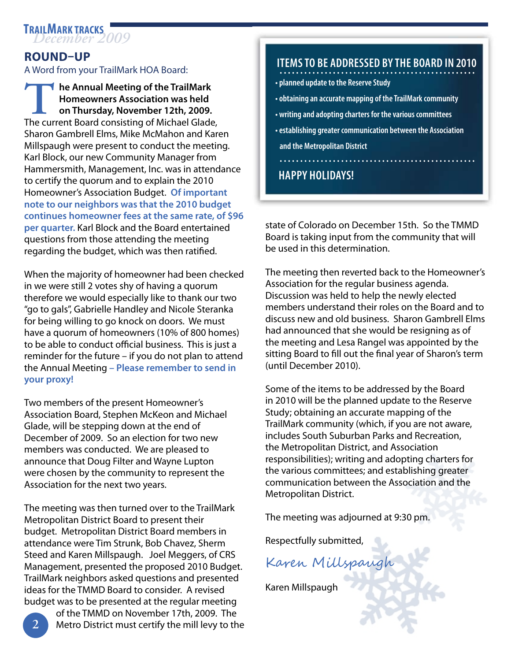## **Round–Up**

A Word from your TrailMark HOA Board:

**The Annual Meeting of the TrailMark Homeowners Association was held on Thursday, November 12th, 2009.**  The current Board consisting of Michael Glade, Sharon Gambrell Elms, Mike McMahon and Karen Millspaugh were present to conduct the meeting. Karl Block, our new Community Manager from Hammersmith, Management, Inc. was in attendance to certify the quorum and to explain the 2010 Homeowner's Association Budget. **Of important note to our neighbors was that the 2010 budget continues homeowner fees at the same rate, of \$96 per quarter.** Karl Block and the Board entertained questions from those attending the meeting regarding the budget, which was then ratified.

When the majority of homeowner had been checked in we were still 2 votes shy of having a quorum therefore we would especially like to thank our two "go to gals", Gabrielle Handley and Nicole Steranka for being willing to go knock on doors. We must have a quorum of homeowners (10% of 800 homes) to be able to conduct official business. This is just a reminder for the future – if you do not plan to attend the Annual Meeting **– Please remember to send in your proxy!**

Two members of the present Homeowner's Association Board, Stephen McKeon and Michael Glade, will be stepping down at the end of December of 2009. So an election for two new members was conducted. We are pleased to announce that Doug Filter and Wayne Lupton were chosen by the community to represent the Association for the next two years.

The meeting was then turned over to the TrailMark Metropolitan District Board to present their budget. Metropolitan District Board members in attendance were Tim Strunk, Bob Chavez, Sherm Steed and Karen Millspaugh. Joel Meggers, of CRS Management, presented the proposed 2010 Budget. TrailMark neighbors asked questions and presented ideas for the TMMD Board to consider. A revised budget was to be presented at the regular meeting

 $\overline{c}$ 

 of the TMMD on November 17th, 2009. The Metro District must certify the mill levy to the

## **ITEMS TO BE ADDRESSED BY THE BOARD IN 2010** ................................................

- **planned update to the Reserve Study**
- **obtaining an accurate mapping of the TrailMark community**
- **writing and adopting charters for the various committees**
- **establishing greater communication between the Association and the Metropolitan District** ................................................

## **Happy Holidays!**

state of Colorado on December 15th. So the TMMD Board is taking input from the community that will be used in this determination.

The meeting then reverted back to the Homeowner's Association for the regular business agenda. Discussion was held to help the newly elected members understand their roles on the Board and to discuss new and old business. Sharon Gambrell Elms had announced that she would be resigning as of the meeting and Lesa Rangel was appointed by the sitting Board to fill out the final year of Sharon's term (until December 2010).

Some of the items to be addressed by the Board in 2010 will be the planned update to the Reserve Study; obtaining an accurate mapping of the TrailMark community (which, if you are not aware, includes South Suburban Parks and Recreation, the Metropolitan District, and Association responsibilities); writing and adopting charters for the various committees; and establishing greater communication between the Association and the Metropolitan District.

The meeting was adjourned at 9:30 pm.

Respectfully submitted,

Karen Millspaugh

Karen Millspaugh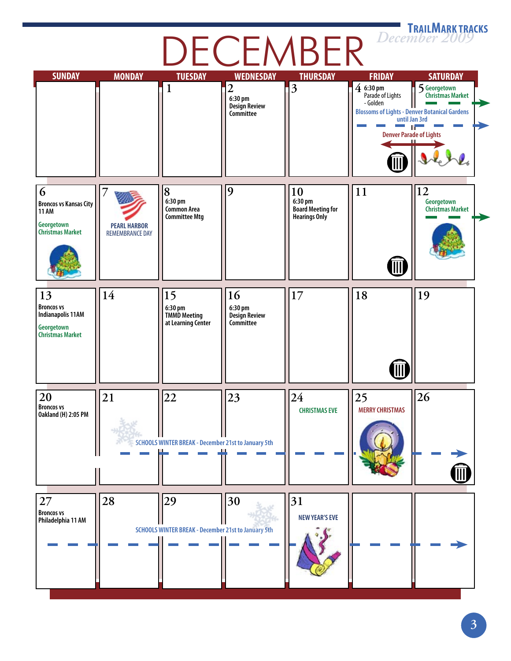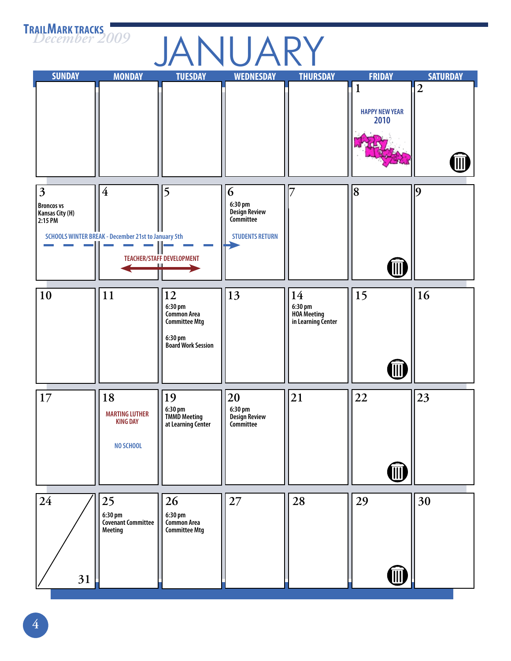# **ANUARY**<br>TUESDAY WEDNESDAY THURSDAY

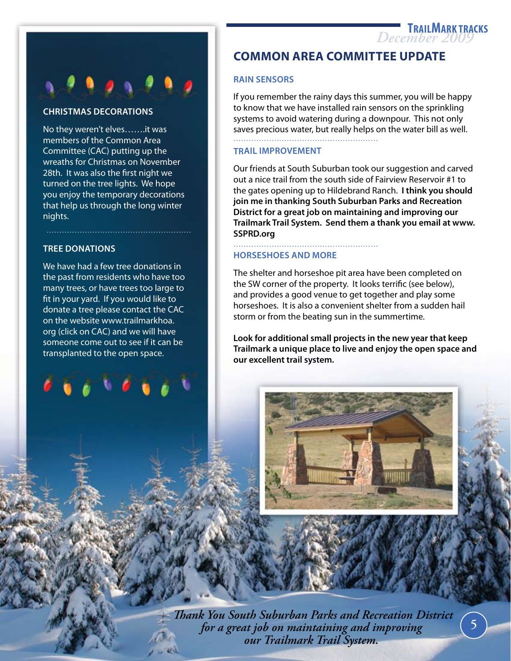

### **Chr istmas Decorations**

No they weren't elves…….it was members of the Common Area Committee (CAC) putting up the wreaths for Christmas on November 28th. It was also the first night we turned on the tree lights. We hope you enjoy the temporary decorations that help us through the long winter nights.

### **Tree Donations**

We have had a few tree donations in the past from residents who have too many trees, or have trees too large to fit in your yard. If you would like to donate a tree please contact the CAC on the website www.trailmarkhoa. org (click on CAC) and we will have someone come out to see if it can be transplanted to the open space.

## **COMMON AREA COMMITTEE UPDATE**

#### **Rain Sensors**

If you remember the rainy days this summer, you will be happy to know that we have installed rain sensors on the sprinkling systems to avoid watering during a downpour. This not only saves precious water, but really helps on the water bill as well. .........................................................

#### **Tra il Improvement**

Our friends at South Suburban took our suggestion and carved out a nice trail from the south side of Fairview Reservoir #1 to the gates opening up to Hildebrand Ranch. **I think you should join me in thanking South Suburban Parks and Recreation District for a great job on maintaining and improving our Trailmark Trail System. Send them a thank you email at www. SSPRD.org**

#### **Horseshoes and more**

.........................................................

The shelter and horseshoe pit area have been completed on the SW corner of the property. It looks terrific (see below), and provides a good venue to get together and play some horseshoes. It is also a convenient shelter from a sudden hail storm or from the beating sun in the summertime.

**Look for additional small projects in the new year that keep Trailmark a unique place to live and enjoy the open space and our excellent trail system.** 



 *Thank You South Suburban Parks and Recreation District for a great job on maintaining and improving our Trailmark Trail System.*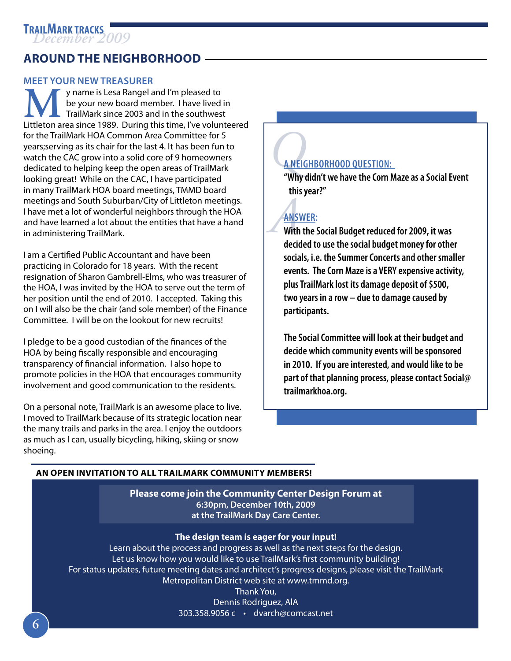## **Around the Neighborhood**

## **Meet Your New Treasurer**

**MA** y name is Lesa Rangel and I'm pleased to<br>
TrailMark since 2003 and in the southwest<br>
Littleton area since 1989. During this time, I've volunteered be your new board member. I have lived in **TrailMark since 2003 and in the southwest** for the TrailMark HOA Common Area Committee for 5 years;serving as its chair for the last 4. It has been fun to watch the CAC grow into a solid core of 9 homeowners dedicated to helping keep the open areas of TrailMark looking great! While on the CAC, I have participated in many TrailMark HOA board meetings, TMMD board meetings and South Suburban/City of Littleton meetings. I have met a lot of wonderful neighbors through the HOA and have learned a lot about the entities that have a hand in administering TrailMark.

I am a Certified Public Accountant and have been practicing in Colorado for 18 years. With the recent resignation of Sharon Gambrell-Elms, who was treasurer of the HOA, I was invited by the HOA to serve out the term of her position until the end of 2010. I accepted. Taking this on I will also be the chair (and sole member) of the Finance Committee. I will be on the lookout for new recruits!

I pledge to be a good custodian of the finances of the HOA by being fiscally responsible and encouraging transparency of financial information. I also hope to promote policies in the HOA that encourages community involvement and good communication to the residents.

On a personal note, TrailMark is an awesome place to live. I moved to TrailMark because of its strategic location near the many trails and parks in the area. I enjoy the outdoors as much as I can, usually bicycling, hiking, skiing or snow shoeing.

## **ANEIC A Neighborhood Question:**

**"Why didn't we have the Corn Maze as a Social Event this year?"**

## **Answer :**

ANS<sup>V</sup><br>With<br>decir **With the Social Budget reduced for 2009, it was decided to use the social budget money for other socials, i.e. the Summer Concerts and other smaller events. The Corn Maze is a VERY expensive activity, plus TrailMark lost its damage deposit of \$500, two years in a row – due to damage caused by participants.** 

**The Social Committee will look at their budget and decide which community events will be sponsored in 2010. If you are interested, and would like to be part of that planning process, please contact Social@ trailmarkhoa.org.**

## **An open invitation to all TrailMark Community Members!**

**Please come join the Community Center Design Forum at 6:30pm, December 10th, 2009 at the TrailMark Day Care Center.** 

## **The design team is eager for your input!**

Learn about the process and progress as well as the next steps for the design. Let us know how you would like to use TrailMark's first community building! For status updates, future meeting dates and architect's progress designs, please visit the TrailMark Metropolitan District web site at www.tmmd.org.

> Thank You, Dennis Rodriguez, AlA 303.358.9056 c • dvarch@comcast.net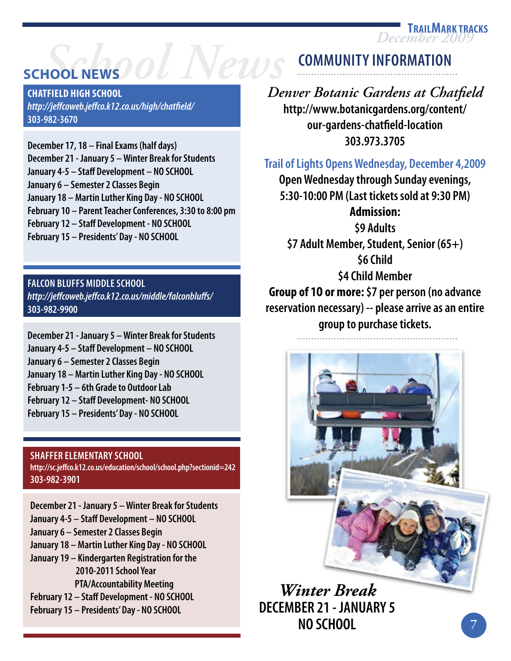**December** 2

## **SCHOOL NEW** *School News*

**Chatfield High School** *http://jeffcoweb.jeffco.k12.co.us/high/chatfield/* **303-982-3670**

**December 17, 18 – Final Exams (half days) December 21 - January 5 – Winter Break for Students January 4-5 – Staff Development – NO SCHOOL January 6 – Semester 2 Classes Begin January 18 – Martin Luther King Day - NO SCHOOL February 10 – Parent Teacher Conferences, 3:30 to 8:00 pm February 12 – Staff Development - NO SCHOOL February 15 – Presidents' Day - NO SCHOOL**

**FALCON BLUFFS MIDDLE SCHOOL** *http://jeffcoweb.jeffco.k12.co.us/middle/falconbluffs/* **303-982-9900**

**December 21 - January 5 – Winter Break for Students January 4-5 – Staff Development – NO SCHOOL January 6 – Semester 2 Classes Begin January 18 – Martin Luther King Day - NO SCHOOL February 1-5 – 6th Grade to Outdoor Lab February 12 – Staff Development- NO SCHOOL February 15 – Presidents' Day - NO SCHOOL**

## **Shaffer Elementary School**

**http://sc.jeffco.k12.co.us/education/school/school.php?sectionid=242 303-982-3901**

**December 21 - January 5 – Winter Break for Students January 4-5 – Staff Development – NO SCHOOL January 6 – Semester 2 Classes Begin January 18 – Martin Luther King Day - NO SCHOOL January 19 – Kindergarten Registration for the 2010-2011 School Year PTA/Accountability Meeting February 12 – Staff Development - NO SCHOOL February 15 – Presidents' Day - NO SCHOOL**

## **Community Information** .........................................................

*Denver Botanic Gardens at Chatfield* **http://www.botanicgardens.org/content/ our-gardens-chatfield-location 303.973.3705**

## **Trail of Lights Opens Wednesday, December 4,2009**

**Open Wednesday through Sunday evenings, 5:30-10:00 PM (Last tickets sold at 9:30 PM) Admission: \$9 Adults \$7 Adult Member, Student, Senior (65+) \$6 Child \$4 Child Member Group of 1O or more: \$7 per person (no advance reservation necessary) -- please arrive as an entire group to purchase tickets.**

.........................................................



*Winter Break* **DECEMBER 21 - JANUARY 5 NO SCHOOL**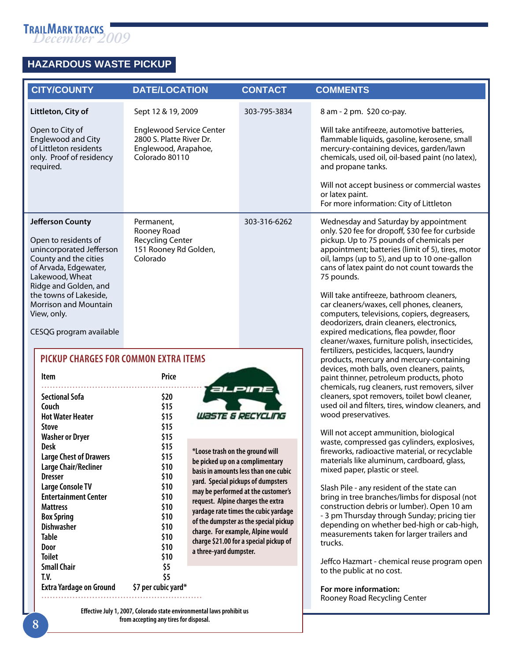

ð

## **Hazardous Waste PICKUP**

| <b>CITY/COUNTY</b>                                                                                                                                                                                                                  | <b>DATE/LOCATION</b>                                                                                            | <b>CONTACT</b>                                                                                                                                                                                                                                                                                          | <b>COMMENTS</b>                                                                                                                                                                                                                                                                                                                                                                                      |
|-------------------------------------------------------------------------------------------------------------------------------------------------------------------------------------------------------------------------------------|-----------------------------------------------------------------------------------------------------------------|---------------------------------------------------------------------------------------------------------------------------------------------------------------------------------------------------------------------------------------------------------------------------------------------------------|------------------------------------------------------------------------------------------------------------------------------------------------------------------------------------------------------------------------------------------------------------------------------------------------------------------------------------------------------------------------------------------------------|
| Littleton, City of                                                                                                                                                                                                                  | Sept 12 & 19, 2009                                                                                              | 303-795-3834                                                                                                                                                                                                                                                                                            | 8 am - 2 pm. \$20 co-pay.                                                                                                                                                                                                                                                                                                                                                                            |
| Open to City of<br><b>Englewood and City</b><br>of Littleton residents<br>only. Proof of residency<br>required.                                                                                                                     | <b>Englewood Service Center</b><br>2800 S. Platte River Dr.<br>Englewood, Arapahoe,<br>Colorado 80110           |                                                                                                                                                                                                                                                                                                         | Will take antifreeze, automotive batteries,<br>flammable liquids, gasoline, kerosene, small<br>mercury-containing devices, garden/lawn<br>chemicals, used oil, oil-based paint (no latex),<br>and propane tanks.                                                                                                                                                                                     |
|                                                                                                                                                                                                                                     |                                                                                                                 |                                                                                                                                                                                                                                                                                                         | Will not accept business or commercial wastes<br>or latex paint.<br>For more information: City of Littleton                                                                                                                                                                                                                                                                                          |
| <b>Jefferson County</b><br>Open to residents of<br>unincorporated Jefferson<br>County and the cities<br>of Arvada, Edgewater,<br>Lakewood, Wheat<br>Ridge and Golden, and<br>the towns of Lakeside,<br><b>Morrison and Mountain</b> | Permanent,<br>Rooney Road<br><b>Recycling Center</b><br>151 Rooney Rd Golden,<br>Colorado                       | 303-316-6262                                                                                                                                                                                                                                                                                            | Wednesday and Saturday by appointment<br>only. \$20 fee for dropoff, \$30 fee for curbside<br>pickup. Up to 75 pounds of chemicals per<br>appointment; batteries (limit of 5), tires, motor<br>oil, lamps (up to 5), and up to 10 one-gallon<br>cans of latex paint do not count towards the<br>75 pounds.<br>Will take antifreeze, bathroom cleaners,<br>car cleaners/waxes, cell phones, cleaners, |
| View, only.<br>CESQG program available<br><b>PICKUP CHARGES FOR COMMON EXTRA ITEMS</b>                                                                                                                                              |                                                                                                                 |                                                                                                                                                                                                                                                                                                         | computers, televisions, copiers, degreasers,<br>deodorizers, drain cleaners, electronics,<br>expired medications, flea powder, floor<br>cleaner/waxes, furniture polish, insecticides,<br>fertilizers, pesticides, lacquers, laundry<br>products, mercury and mercury-containing<br>devices, moth balls, oven cleaners, paints,                                                                      |
| Item<br><b>Sectional Sofa</b><br>Couch<br><b>Hot Water Heater</b>                                                                                                                                                                   | Price<br>\$20<br>\$15<br>\$15                                                                                   | WASTE & RECYCLING                                                                                                                                                                                                                                                                                       | paint thinner, petroleum products, photo<br>chemicals, rug cleaners, rust removers, silver<br>cleaners, spot removers, toilet bowl cleaner,<br>used oil and filters, tires, window cleaners, and<br>wood preservatives.                                                                                                                                                                              |
| <b>Stove</b><br><b>Washer or Dryer</b><br><b>Desk</b><br><b>Large Chest of Drawers</b><br>Large Chair/Recliner<br><b>Dresser</b>                                                                                                    | \$15<br>\$15<br>\$15<br>*Loose trash on the ground will<br>\$15<br>\$10<br>\$10                                 | be picked up on a complimentary<br>basis in amounts less than one cubic                                                                                                                                                                                                                                 | Will not accept ammunition, biological<br>waste, compressed gas cylinders, explosives,<br>fireworks, radioactive material, or recyclable<br>materials like aluminum, cardboard, glass,<br>mixed paper, plastic or steel.                                                                                                                                                                             |
| <b>Large Console TV</b><br><b>Entertainment Center</b><br><b>Mattress</b><br><b>Box Spring</b><br><b>Dishwasher</b><br><b>Table</b><br>Door                                                                                         | \$10<br>\$10<br>\$10<br>\$10<br>\$10<br>\$10<br>\$10                                                            | yard. Special pickups of dumpsters<br>may be performed at the customer's<br>request. Alpine charges the extra<br>yardage rate times the cubic yardage<br>of the dumpster as the special pickup<br>charge. For example, Alpine would<br>charge \$21.00 for a special pickup of<br>a three-yard dumpster. | Slash Pile - any resident of the state can<br>bring in tree branches/limbs for disposal (not<br>construction debris or lumber). Open 10 am<br>- 3 pm Thursday through Sunday; pricing tier<br>depending on whether bed-high or cab-high,<br>measurements taken for larger trailers and<br>trucks.                                                                                                    |
| <b>Toilet</b><br><b>Small Chair</b><br>T.V.<br><b>Extra Yardage on Ground</b>                                                                                                                                                       | \$10<br>\$5<br>\$5<br>\$7 per cubic yard*                                                                       |                                                                                                                                                                                                                                                                                                         | Jeffco Hazmart - chemical reuse program open<br>to the public at no cost.<br>For more information:                                                                                                                                                                                                                                                                                                   |
|                                                                                                                                                                                                                                     | Effective July 1, 2007, Colorado state environmental laws prohibit us<br>from accepting any tires for disposal. |                                                                                                                                                                                                                                                                                                         | Rooney Road Recycling Center                                                                                                                                                                                                                                                                                                                                                                         |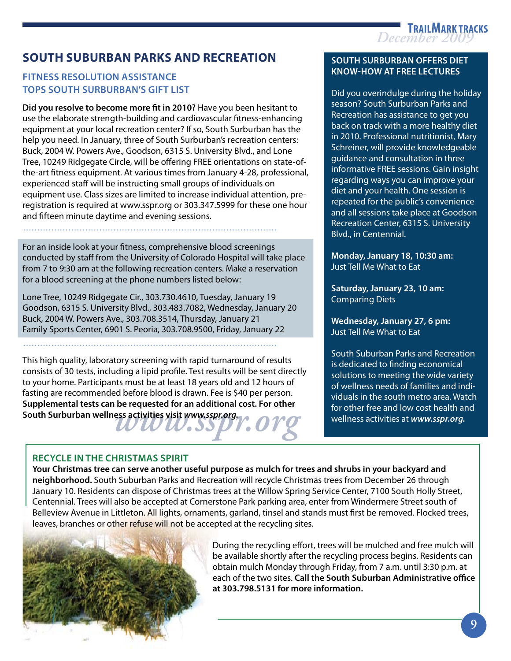

## **South suburban parks and recreation**

## **Fitness Resolution Assistance Tops South Surburban's Gift List**

**Did you resolve to become more fit in 2010?** Have you been hesitant to use the elaborate strength-building and cardiovascular fitness-enhancing equipment at your local recreation center? If so, South Surburban has the help you need. In January, three of South Surburban's recreation centers: Buck, 2004 W. Powers Ave., Goodson, 6315 S. University Blvd., and Lone Tree, 10249 Ridgegate Circle, will be offering FREE orientations on state-ofthe-art fitness equipment. At various times from January 4-28, professional, experienced staff will be instructing small groups of individuals on equipment use. Class sizes are limited to increase individual attention, preregistration is required at www.sspr.org or 303.347.5999 for these one hour and fifteen minute daytime and evening sessions.

For an inside look at your fitness, comprehensive blood screenings conducted by staff from the University of Colorado Hospital will take place from 7 to 9:30 am at the following recreation centers. Make a reservation for a blood screening at the phone numbers listed below:

Lone Tree, 10249 Ridgegate Cir., 303.730.4610, Tuesday, January 19 Goodson, 6315 S. University Blvd., 303.483.7082, Wednesday, January 20 Buck, 2004 W. Powers Ave., 303.708.3514, Thursday, January 21 Family Sports Center, 6901 S. Peoria, 303.708.9500, Friday, January 22

..........................................................................................

**South Surburban wellness activities visit** *www.sspr.org.***<br>
South Surburban wellness activities visit** *www.sspr.org.* This high quality, laboratory screening with rapid turnaround of results consists of 30 tests, including a lipid profile. Test results will be sent directly to your home. Participants must be at least 18 years old and 12 hours of fasting are recommended before blood is drawn. Fee is \$40 per person. **Supplemental tests can be requested for an additional cost. For other** 

## **Recycle in the Christmas Spirit**

**Your Christmas tree can serve another useful purpose as mulch for trees and shrubs in your backyard and neighborhood.** South Suburban Parks and Recreation will recycle Christmas trees from December 26 through January 10. Residents can dispose of Christmas trees at the Willow Spring Service Center, 7100 South Holly Street, Centennial. Trees will also be accepted at Cornerstone Park parking area, enter from Windermere Street south of Belleview Avenue in Littleton. All lights, ornaments, garland, tinsel and stands must first be removed. Flocked trees, leaves, branches or other refuse will not be accepted at the recycling sites.



 During the recycling effort, trees will be mulched and free mulch will be available shortly after the recycling process begins. Residents can obtain mulch Monday through Friday, from 7 a.m. until 3:30 p.m. at each of the two sites. **Call the South Suburban Administrative office at 303.798.5131 for more information.**

### **South Surburban Offers Diet Know-How at Free Lectures**

Did you overindulge during the holiday season? South Surburban Parks and Recreation has assistance to get you back on track with a more healthy diet in 2010. Professional nutritionist, Mary Schreiner, will provide knowledgeable guidance and consultation in three informative FREE sessions. Gain insight regarding ways you can improve your diet and your health. One session is repeated for the public's convenience and all sessions take place at Goodson Recreation Center, 6315 S. University Blvd., in Centennial.

**Monday, January 18, 10:30 am:** Just Tell Me What to Eat

**Saturday, January 23, 10 am:** Comparing Diets

**Wednesday, January 27, 6 pm:** Just Tell Me What to Eat

South Suburban Parks and Recreation is dedicated to finding economical solutions to meeting the wide variety of wellness needs of families and individuals in the south metro area. Watch for other free and low cost health and wellness activities at *www.sspr.org.*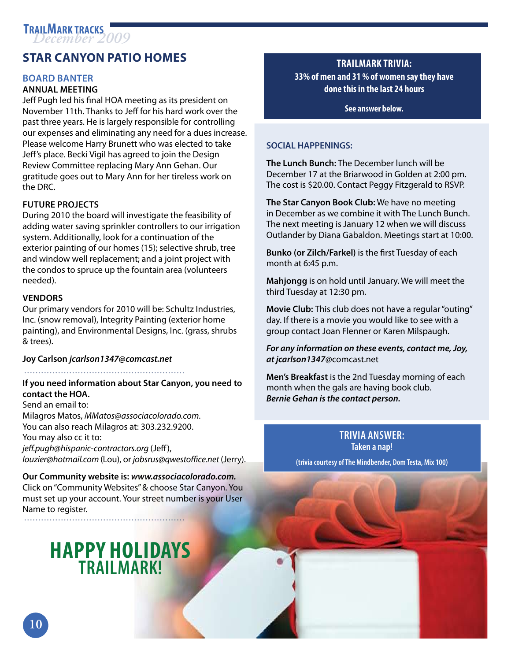## **Star Canyon Patio Homes**

### **Board Banter**

## **Annual Meeting**

Jeff Pugh led his final HOA meeting as its president on November 11th. Thanks to Jeff for his hard work over the past three years. He is largely responsible for controlling our expenses and eliminating any need for a dues increase. Please welcome Harry Brunett who was elected to take Jeff's place. Becki Vigil has agreed to join the Design Review Committee replacing Mary Ann Gehan. Our gratitude goes out to Mary Ann for her tireless work on the DRC.

## **Future Projects**

During 2010 the board will investigate the feasibility of adding water saving sprinkler controllers to our irrigation system. Additionally, look for a continuation of the exterior painting of our homes (15); selective shrub, tree and window well replacement; and a joint project with the condos to spruce up the fountain area (volunteers needed).

## **Vendors**

Our primary vendors for 2010 will be: Schultz Industries, Inc. (snow removal), Integrity Painting (exterior home painting), and Environmental Designs, Inc. (grass, shrubs & trees).

### **Joy Carlson** *jcarlson1347@comcast.net*

### .........................................................

## **If you need information about Star Canyon, you need to contact the HOA.**  Send an email to: Milagros Matos, *MMatos@associacolorado.com.* You can also reach Milagros at: 303.232.9200. You may also cc it to:

*jeff.pugh@hispanic-contractors.org* (Jeff),

*louzier@hotmail.com* (Lou), or *jobsrus@qwestoffice.net* (Jerry).

#### **Our Community website is:** *www.associacolorado.com.*  Click on "Community Websites" & choose Star Canyon. You

must set up your account. Your street number is your User Name to register. .........................................................

## **HAPPY HOLIDAYS TRAILMARK!**

## **Trailmark Trivia: 33% of men and 31 % of women say they have done this in the last 24 hours**

**See answer below.**

## **SOCIAL HAPPENINGS:**

**The Lunch Bunch:** The December lunch will be December 17 at the Briarwood in Golden at 2:00 pm. The cost is \$20.00. Contact Peggy Fitzgerald to RSVP.

**The Star Canyon Book Club:** We have no meeting in December as we combine it with The Lunch Bunch. The next meeting is January 12 when we will discuss Outlander by Diana Gabaldon. Meetings start at 10:00.

**Bunko (or Zilch/Farkel)** is the first Tuesday of each month at 6:45 p.m.

**Mahjongg** is on hold until January. We will meet the third Tuesday at 12:30 pm.

**Movie Club:** This club does not have a regular "outing" day. If there is a movie you would like to see with a group contact Joan Flenner or Karen Milspaugh.

### *For any information on these events, contact me, Joy, at jcarlson1347*@comcast.net

**Men's Breakfast** is the 2nd Tuesday morning of each month when the gals are having book club. *Bernie Gehan is the contact person.*

> **Trivia answer: Taken a nap!**

**(trivia courtesy of The Mindbender, Dom Testa, Mix 100)**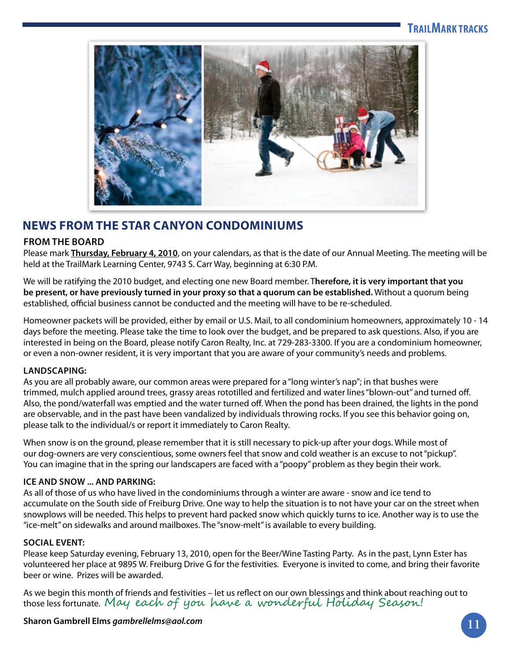

## **NEWS FROM THE STAR CANYON CONDOMINIUMS**

## **From the Board**

Please mark **Thursday, February 4, 2010**, on your calendars, as that is the date of our Annual Meeting. The meeting will be held at the TrailMark Learning Center, 9743 S. Carr Way, beginning at 6:30 P.M.

We will be ratifying the 2010 budget, and electing one new Board member. T**herefore, it is very important that you be present, or have previously turned in your proxy so that a quorum can be established.** Without a quorum being established, official business cannot be conducted and the meeting will have to be re-scheduled.

Homeowner packets will be provided, either by email or U.S. Mail, to all condominium homeowners, approximately 10 - 14 days before the meeting. Please take the time to look over the budget, and be prepared to ask questions. Also, if you are interested in being on the Board, please notify Caron Realty, Inc. at 729-283-3300. If you are a condominium homeowner, or even a non-owner resident, it is very important that you are aware of your community's needs and problems.

## **Landscap ing:**

As you are all probably aware, our common areas were prepared for a "long winter's nap"; in that bushes were trimmed, mulch applied around trees, grassy areas rototilled and fertilized and water lines "blown-out" and turned off. Also, the pond/waterfall was emptied and the water turned off. When the pond has been drained, the lights in the pond are observable, and in the past have been vandalized by individuals throwing rocks. If you see this behavior going on, please talk to the individual/s or report it immediately to Caron Realty.

When snow is on the ground, please remember that it is still necessary to pick-up after your dogs. While most of our dog-owners are very conscientious, some owners feel that snow and cold weather is an excuse to not "pickup". You can imagine that in the spring our landscapers are faced with a "poopy" problem as they begin their work.

## **Ice and Snow ... and Parking:**

As all of those of us who have lived in the condominiums through a winter are aware - snow and ice tend to accumulate on the South side of Freiburg Drive. One way to help the situation is to not have your car on the street when snowplows will be needed. This helps to prevent hard packed snow which quickly turns to ice. Another way is to use the "ice-melt" on sidewalks and around mailboxes. The "snow-melt" is available to every building.

## **SOCIAL EVENT:**

Please keep Saturday evening, February 13, 2010, open for the Beer/Wine Tasting Party. As in the past, Lynn Ester has volunteered her place at 9895 W. Freiburg Drive G for the festivities. Everyone is invited to come, and bring their favorite beer or wine. Prizes will be awarded.

As we begin this month of friends and festivities – let us reflect on our own blessings and think about reaching out to those less fortunate. May each of you have a wonderful Holiday Season!

## **Sharon Gambrell Elms** *gambrellelms@aol.com* **11**